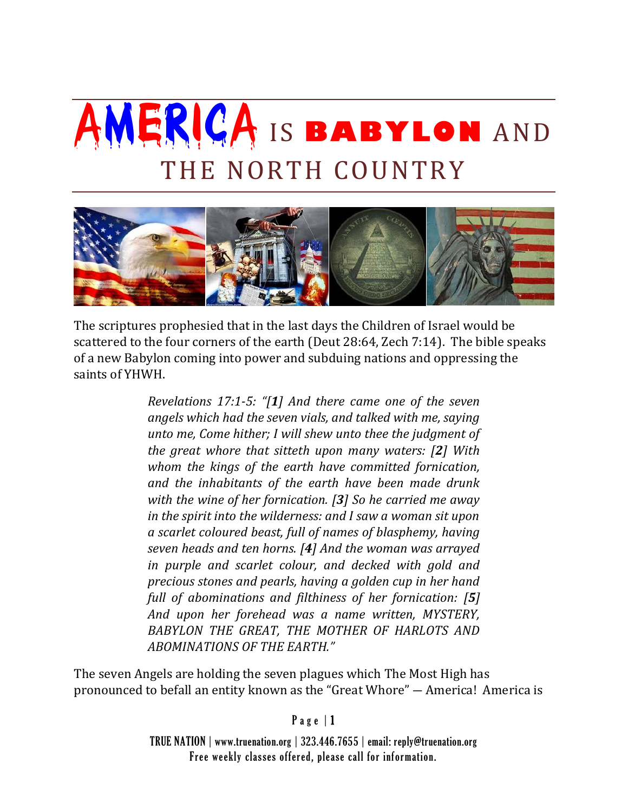## AMERICA IS **BABYLON** AND THE NORTH COUNTRY



The scriptures prophesied that in the last days the Children of Israel would be scattered to the four corners of the earth (Deut 28:64, Zech 7:14). The bible speaks of a new Babylon coming into power and subduing nations and oppressing the saints of YHWH.

> *Revelations 17:1-5: "[1] And there came one of the seven angels which had the seven vials, and talked with me, saying unto me, Come hither; I will shew unto thee the judgment of the great whore that sitteth upon many waters: [2] With whom the kings of the earth have committed fornication, and the inhabitants of the earth have been made drunk with the wine of her fornication. [3] So he carried me away in the spirit into the wilderness: and I saw a woman sit upon a scarlet coloured beast, full of names of blasphemy, having seven heads and ten horns. [4] And the woman was arrayed in purple and scarlet colour, and decked with gold and precious stones and pearls, having a golden cup in her hand full of abominations and filthiness of her fornication: [5] And upon her forehead was a name written, MYSTERY, BABYLON THE GREAT, THE MOTHER OF HARLOTS AND ABOMINATIONS OF THE EARTH."*

The seven Angels are holding the seven plagues which The Most High has pronounced to befall an entity known as the "Great Whore" ― America! America is

## $P$  a g e  $|1$

TRUE NATION | www.truenation.org | 323.446.7655 | email: reply@truenation.org Free weekly classes offered, please call for information.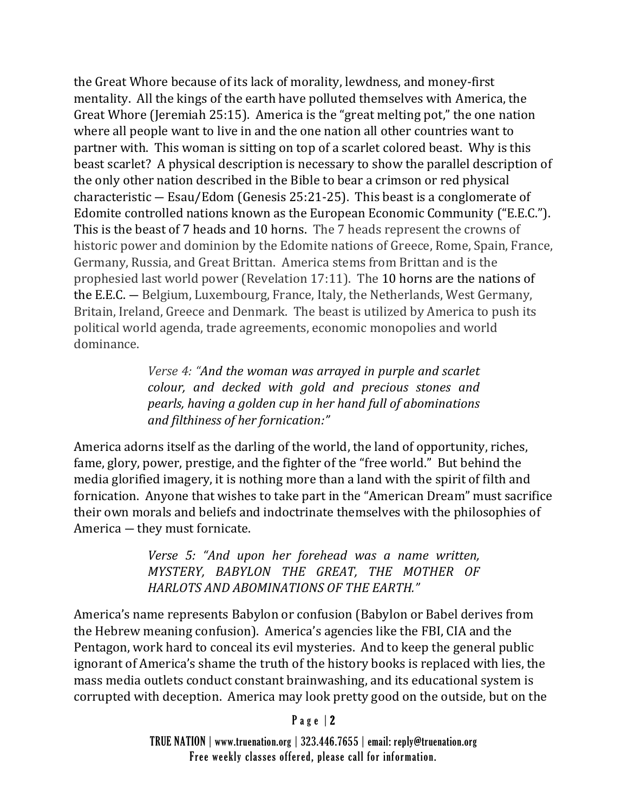the Great Whore because of its lack of morality, lewdness, and money-first mentality. All the kings of the earth have polluted themselves with America, the Great Whore (Jeremiah 25:15). America is the "great melting pot," the one nation where all people want to live in and the one nation all other countries want to partner with. This woman is sitting on top of a scarlet colored beast. Why is this beast scarlet? A physical description is necessary to show the parallel description of the only other nation described in the Bible to bear a crimson or red physical characteristic ― Esau/Edom (Genesis 25:21-25). This beast is a conglomerate of Edomite controlled nations known as the European Economic Community ("E.E.C."). This is the beast of 7 heads and 10 horns. The 7 heads represent the crowns of historic power and dominion by the Edomite nations of Greece, Rome, Spain, France, Germany, Russia, and Great Brittan. America stems from Brittan and is the prophesied last world power (Revelation 17:11). The 10 horns are the nations of the E.E.C. ― Belgium, Luxembourg, France, Italy, the Netherlands, West Germany, Britain, Ireland, Greece and Denmark. The beast is utilized by America to push its political world agenda, trade agreements, economic monopolies and world dominance.

> *Verse 4: "And the woman was arrayed in purple and scarlet colour, and decked with gold and precious stones and pearls, having a golden cup in her hand full of abominations and filthiness of her fornication:"*

America adorns itself as the darling of the world, the land of opportunity, riches, fame, glory, power, prestige, and the fighter of the "free world." But behind the media glorified imagery, it is nothing more than a land with the spirit of filth and fornication. Anyone that wishes to take part in the "American Dream" must sacrifice their own morals and beliefs and indoctrinate themselves with the philosophies of America ― they must fornicate.

> *Verse 5: "And upon her forehead was a name written, MYSTERY, BABYLON THE GREAT, THE MOTHER OF HARLOTS AND ABOMINATIONS OF THE EARTH."*

America's name represents Babylon or confusion (Babylon or Babel derives from the Hebrew meaning confusion). America's agencies like the FBI, CIA and the Pentagon, work hard to conceal its evil mysteries. And to keep the general public ignorant of America's shame the truth of the history books is replaced with lies, the mass media outlets conduct constant brainwashing, and its educational system is corrupted with deception. America may look pretty good on the outside, but on the

## P a g e | 2

TRUE NATION | www.truenation.org | 323.446.7655 | email: reply@truenation.org Free weekly classes offered, please call for information.